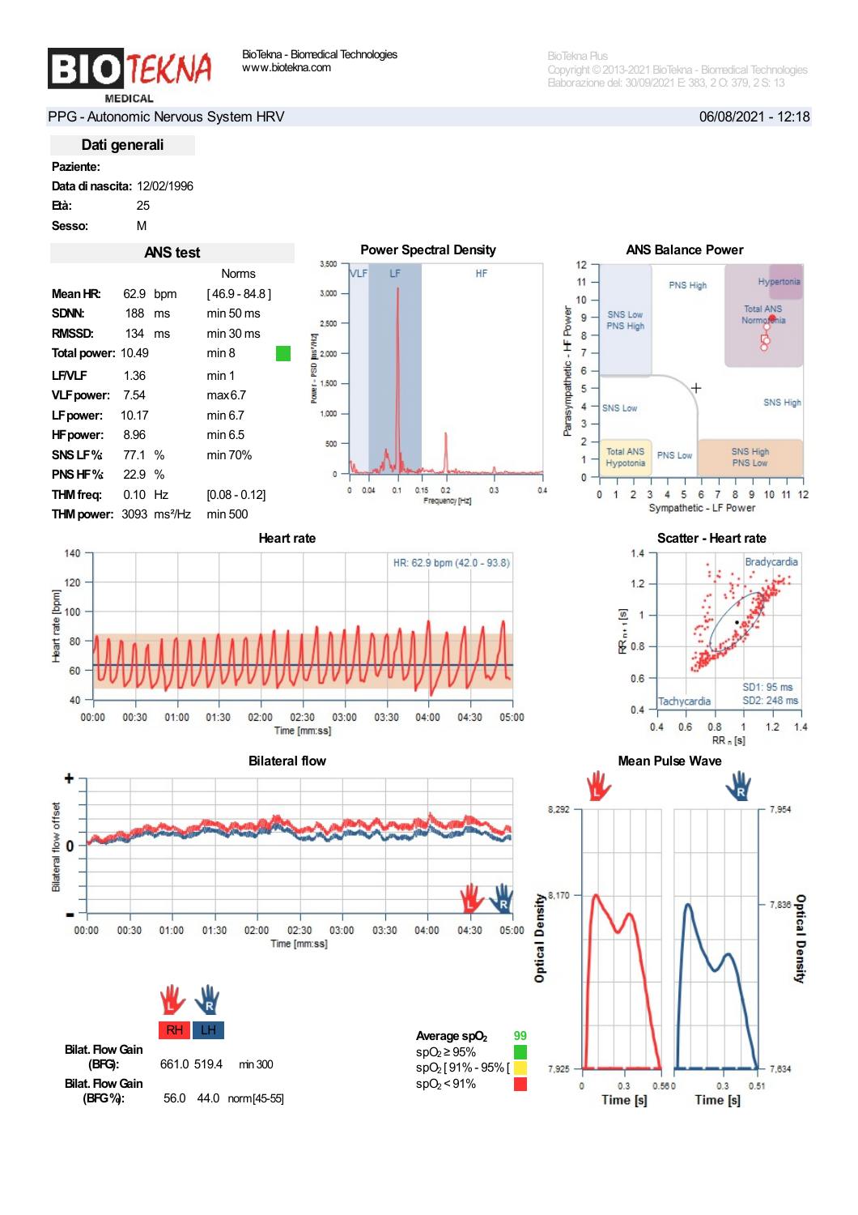BioTekna Plus Copyright ©2013-2021 BioTekna - Biomedical Technologies Elaborazione del: 30/09/2021 E: 383, 2O: 379, 2 S: 13

PPG - Autonomic Nervous System HRV 06/08/2021 - 12:18

Dati generali

Data di nascita: 12/02/1996

Età: 25

Sesso: M





Bilateral flow Mean Pulse Wave Bilateral flow ٠ Bilateral flow offset  $\bf{0}$ R  $01:00$  $00:00$ 00:30  $01:30$  $02:00$  $02:30$ 03:00 03:30  $04:00$ 04:30  $05:00$ Time [mm:ss]





HF

 $0.3$